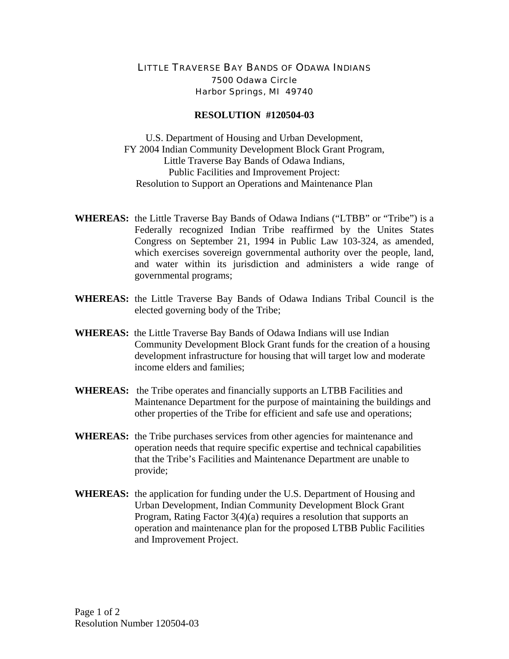## LITTLE TRAVERSE BAY BANDS OF ODAWA INDIANS 7500 Odawa Circle Harbor Springs, MI 49740

## **RESOLUTION #120504-03**

U.S. Department of Housing and Urban Development, FY 2004 Indian Community Development Block Grant Program, Little Traverse Bay Bands of Odawa Indians, Public Facilities and Improvement Project: Resolution to Support an Operations and Maintenance Plan

- **WHEREAS:** the Little Traverse Bay Bands of Odawa Indians ("LTBB" or "Tribe") is a Federally recognized Indian Tribe reaffirmed by the Unites States Congress on September 21, 1994 in Public Law 103-324, as amended, which exercises sovereign governmental authority over the people, land, and water within its jurisdiction and administers a wide range of governmental programs;
- **WHEREAS:** the Little Traverse Bay Bands of Odawa Indians Tribal Council is the elected governing body of the Tribe;
- **WHEREAS:** the Little Traverse Bay Bands of Odawa Indians will use Indian Community Development Block Grant funds for the creation of a housing development infrastructure for housing that will target low and moderate income elders and families;
- **WHEREAS:** the Tribe operates and financially supports an LTBB Facilities and Maintenance Department for the purpose of maintaining the buildings and other properties of the Tribe for efficient and safe use and operations;
- **WHEREAS:** the Tribe purchases services from other agencies for maintenance and operation needs that require specific expertise and technical capabilities that the Tribe's Facilities and Maintenance Department are unable to provide;
- **WHEREAS:** the application for funding under the U.S. Department of Housing and Urban Development, Indian Community Development Block Grant Program, Rating Factor 3(4)(a) requires a resolution that supports an operation and maintenance plan for the proposed LTBB Public Facilities and Improvement Project.